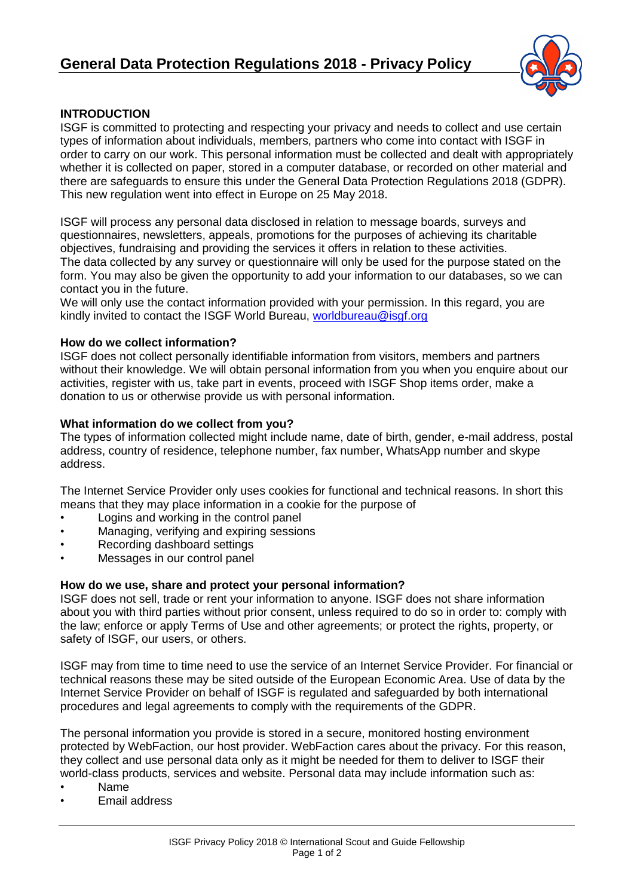

## **INTRODUCTION**

ISGF is committed to protecting and respecting your privacy and needs to collect and use certain types of information about individuals, members, partners who come into contact with ISGF in order to carry on our work. This personal information must be collected and dealt with appropriately whether it is collected on paper, stored in a computer database, or recorded on other material and there are safeguards to ensure this under the General Data Protection Regulations 2018 (GDPR). This new regulation went into effect in Europe on 25 May 2018.

ISGF will process any personal data disclosed in relation to message boards, surveys and questionnaires, newsletters, appeals, promotions for the purposes of achieving its charitable objectives, fundraising and providing the services it offers in relation to these activities. The data collected by any survey or questionnaire will only be used for the purpose stated on the form. You may also be given the opportunity to add your information to our databases, so we can contact you in the future.

We will only use the contact information provided with your permission. In this regard, you are kindly invited to contact the ISGF World Bureau, [worldbureau@isgf.org](mailto:worldbureau@isgf.org)

### **How do we collect information?**

ISGF does not collect personally identifiable information from visitors, members and partners without their knowledge. We will obtain personal information from you when you enquire about our activities, register with us, take part in events, proceed with ISGF Shop items order, make a donation to us or otherwise provide us with personal information.

### **What information do we collect from you?**

The types of information collected might include name, date of birth, gender, e-mail address, postal address, country of residence, telephone number, fax number, WhatsApp number and skype address.

The Internet Service Provider only uses cookies for functional and technical reasons. In short this means that they may place information in a cookie for the purpose of

- Logins and working in the control panel
- Managing, verifying and expiring sessions
- Recording dashboard settings
- Messages in our control panel

### **How do we use, share and protect your personal information?**

ISGF does not sell, trade or rent your information to anyone. ISGF does not share information about you with third parties without prior consent, unless required to do so in order to: comply with the law; enforce or apply Terms of Use and other agreements; or protect the rights, property, or safety of ISGF, our users, or others.

ISGF may from time to time need to use the service of an Internet Service Provider. For financial or technical reasons these may be sited outside of the European Economic Area. Use of data by the Internet Service Provider on behalf of ISGF is regulated and safeguarded by both international procedures and legal agreements to comply with the requirements of the GDPR.

The personal information you provide is stored in a secure, monitored hosting environment protected by WebFaction, our host provider. WebFaction cares about the privacy. For this reason, they collect and use personal data only as it might be needed for them to deliver to ISGF their world-class products, services and website. Personal data may include information such as:

- Name
- Email address